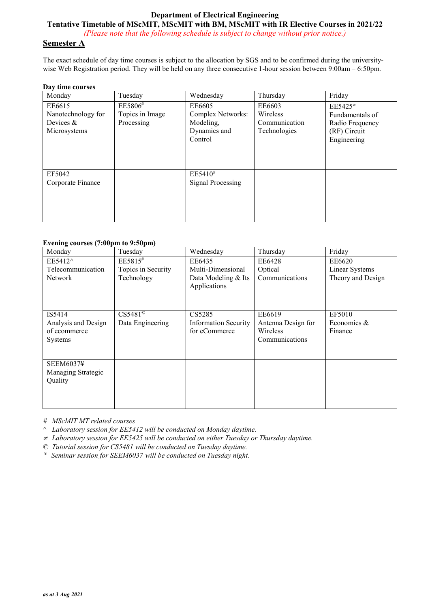# **Department of Electrical Engineering**

**Tentative Timetable of MScMIT, MScMIT with BM, MScMIT with IR Elective Courses in 2021/22** *(Please note that the following schedule is subject to change without prior notice.)*

## **Semester A**

The exact schedule of day time courses is subject to the allocation by SGS and to be confirmed during the universitywise Web Registration period. They will be held on any three consecutive 1-hour session between 9:00am – 6:50pm.

#### **Day time courses**

| Monday                                                      | Tuesday                                  | Wednesday                                                           | Thursday                                            | Friday                                                                         |
|-------------------------------------------------------------|------------------------------------------|---------------------------------------------------------------------|-----------------------------------------------------|--------------------------------------------------------------------------------|
| EE6615<br>Nanotechnology for<br>Devices $&$<br>Microsystems | EE5806#<br>Topics in Image<br>Processing | EE6605<br>Complex Networks:<br>Modeling,<br>Dynamics and<br>Control | EE6603<br>Wireless<br>Communication<br>Technologies | $EE5425*$<br>Fundamentals of<br>Radio Frequency<br>(RF) Circuit<br>Engineering |
| EF5042<br>Corporate Finance                                 |                                          | EE5410#<br><b>Signal Processing</b>                                 |                                                     |                                                                                |

#### **Evening courses (7:00pm to 9:50pm)**

| Monday              | Tuesday            | Wednesday                           | Thursday           | Friday            |
|---------------------|--------------------|-------------------------------------|--------------------|-------------------|
| EE5412^             | $EE5815^{\#}$      | EE6435                              | EE6428             | EE6620            |
| Telecommunication   | Topics in Security | Multi-Dimensional                   | Optical            | Linear Systems    |
| <b>Network</b>      | Technology         | Data Modeling & Its<br>Applications | Communications     | Theory and Design |
| IS5414              | $CS5481^\circ$     | CS5285                              | EE6619             | EF5010            |
| Analysis and Design | Data Engineering   | <b>Information Security</b>         | Antenna Design for | Economics &       |
| of ecommerce        |                    | for eCommerce                       | Wireless           | Finance           |
| <b>Systems</b>      |                    |                                     | Communications     |                   |
|                     |                    |                                     |                    |                   |
| <b>SEEM6037¥</b>    |                    |                                     |                    |                   |
| Managing Strategic  |                    |                                     |                    |                   |
| Quality             |                    |                                     |                    |                   |
|                     |                    |                                     |                    |                   |
|                     |                    |                                     |                    |                   |

*# MScMIT MT related courses*

^ *Laboratory session for EE5412 will be conducted on Monday daytime.*

<sup>≠</sup> *Laboratory session for EE5425 will be conducted on either Tuesday or Thursday daytime.*

© *Tutorial session for CS5481 will be conducted on Tuesday daytime.*

¥ *Seminar session for SEEM6037 will be conducted on Tuesday night.*